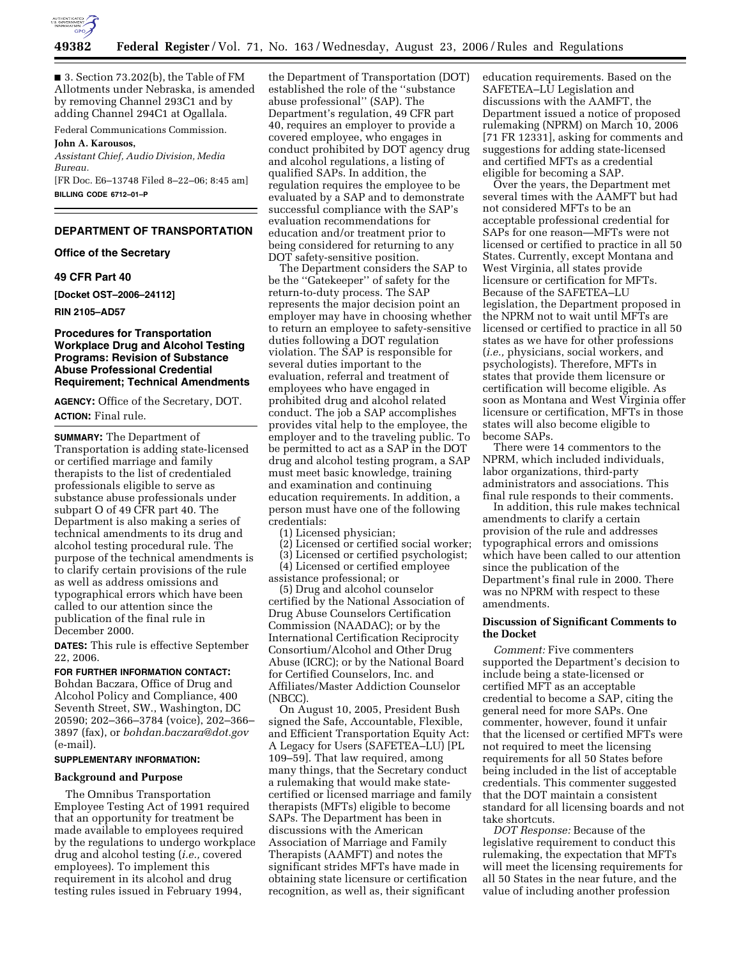

■ 3. Section 73.202(b), the Table of FM Allotments under Nebraska, is amended by removing Channel 293C1 and by adding Channel 294C1 at Ogallala.

Federal Communications Commission.

### **John A. Karousos,**

*Assistant Chief, Audio Division, Media Bureau.* 

[FR Doc. E6–13748 Filed 8–22–06; 8:45 am] **BILLING CODE 6712–01–P** 

# **DEPARTMENT OF TRANSPORTATION**

#### **Office of the Secretary**

#### **49 CFR Part 40**

**[Docket OST–2006–24112]** 

**RIN 2105–AD57** 

### **Procedures for Transportation Workplace Drug and Alcohol Testing Programs: Revision of Substance Abuse Professional Credential Requirement; Technical Amendments**

**AGENCY:** Office of the Secretary, DOT. **ACTION:** Final rule.

**SUMMARY:** The Department of Transportation is adding state-licensed or certified marriage and family therapists to the list of credentialed professionals eligible to serve as substance abuse professionals under subpart O of 49 CFR part 40. The Department is also making a series of technical amendments to its drug and alcohol testing procedural rule. The purpose of the technical amendments is to clarify certain provisions of the rule as well as address omissions and typographical errors which have been called to our attention since the publication of the final rule in December 2000.

**DATES:** This rule is effective September 22, 2006.

### **FOR FURTHER INFORMATION CONTACT:**

Bohdan Baczara, Office of Drug and Alcohol Policy and Compliance, 400 Seventh Street, SW., Washington, DC 20590; 202–366–3784 (voice), 202–366– 3897 (fax), or *bohdan.baczara@dot.gov*  (e-mail).

#### **SUPPLEMENTARY INFORMATION:**

### **Background and Purpose**

The Omnibus Transportation Employee Testing Act of 1991 required that an opportunity for treatment be made available to employees required by the regulations to undergo workplace drug and alcohol testing (*i.e.,* covered employees). To implement this requirement in its alcohol and drug testing rules issued in February 1994,

the Department of Transportation (DOT) established the role of the ''substance abuse professional'' (SAP). The Department's regulation, 49 CFR part 40, requires an employer to provide a covered employee, who engages in conduct prohibited by DOT agency drug and alcohol regulations, a listing of qualified SAPs. In addition, the regulation requires the employee to be evaluated by a SAP and to demonstrate successful compliance with the SAP's evaluation recommendations for education and/or treatment prior to being considered for returning to any DOT safety-sensitive position.

The Department considers the SAP to be the ''Gatekeeper'' of safety for the return-to-duty process. The SAP represents the major decision point an employer may have in choosing whether to return an employee to safety-sensitive duties following a DOT regulation violation. The SAP is responsible for several duties important to the evaluation, referral and treatment of employees who have engaged in prohibited drug and alcohol related conduct. The job a SAP accomplishes provides vital help to the employee, the employer and to the traveling public. To be permitted to act as a SAP in the DOT drug and alcohol testing program, a SAP must meet basic knowledge, training and examination and continuing education requirements. In addition, a person must have one of the following credentials:

- (1) Licensed physician;
- (2) Licensed or certified social worker;

(3) Licensed or certified psychologist; (4) Licensed or certified employee

assistance professional; or

(5) Drug and alcohol counselor certified by the National Association of Drug Abuse Counselors Certification Commission (NAADAC); or by the International Certification Reciprocity Consortium/Alcohol and Other Drug Abuse (ICRC); or by the National Board for Certified Counselors, Inc. and Affiliates/Master Addiction Counselor (NBCC).

On August 10, 2005, President Bush signed the Safe, Accountable, Flexible, and Efficient Transportation Equity Act: A Legacy for Users (SAFETEA–LU) [PL 109–59]. That law required, among many things, that the Secretary conduct a rulemaking that would make statecertified or licensed marriage and family therapists (MFTs) eligible to become SAPs. The Department has been in discussions with the American Association of Marriage and Family Therapists (AAMFT) and notes the significant strides MFTs have made in obtaining state licensure or certification recognition, as well as, their significant

education requirements. Based on the SAFETEA–LU Legislation and discussions with the AAMFT, the Department issued a notice of proposed rulemaking (NPRM) on March 10, 2006 [71 FR 12331], asking for comments and suggestions for adding state-licensed and certified MFTs as a credential eligible for becoming a SAP.

Over the years, the Department met several times with the AAMFT but had not considered MFTs to be an acceptable professional credential for SAPs for one reason—MFTs were not licensed or certified to practice in all 50 States. Currently, except Montana and West Virginia, all states provide licensure or certification for MFTs. Because of the SAFETEA–LU legislation, the Department proposed in the NPRM not to wait until MFTs are licensed or certified to practice in all 50 states as we have for other professions (*i.e.,* physicians, social workers, and psychologists). Therefore, MFTs in states that provide them licensure or certification will become eligible. As soon as Montana and West Virginia offer licensure or certification, MFTs in those states will also become eligible to become SAPs.

There were 14 commentors to the NPRM, which included individuals, labor organizations, third-party administrators and associations. This final rule responds to their comments.

In addition, this rule makes technical amendments to clarify a certain provision of the rule and addresses typographical errors and omissions which have been called to our attention since the publication of the Department's final rule in 2000. There was no NPRM with respect to these amendments.

#### **Discussion of Significant Comments to the Docket**

*Comment:* Five commenters supported the Department's decision to include being a state-licensed or certified MFT as an acceptable credential to become a SAP, citing the general need for more SAPs. One commenter, however, found it unfair that the licensed or certified MFTs were not required to meet the licensing requirements for all 50 States before being included in the list of acceptable credentials. This commenter suggested that the DOT maintain a consistent standard for all licensing boards and not take shortcuts.

*DOT Response:* Because of the legislative requirement to conduct this rulemaking, the expectation that MFTs will meet the licensing requirements for all 50 States in the near future, and the value of including another profession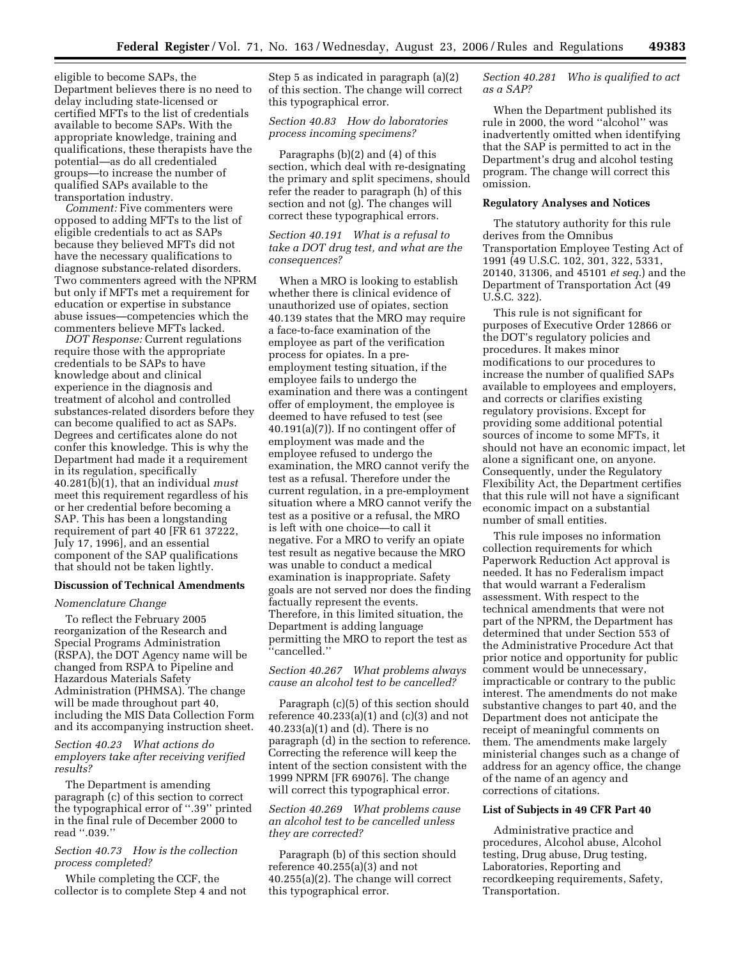eligible to become SAPs, the Department believes there is no need to delay including state-licensed or certified MFTs to the list of credentials available to become SAPs. With the appropriate knowledge, training and qualifications, these therapists have the potential—as do all credentialed groups—to increase the number of qualified SAPs available to the transportation industry.

*Comment:* Five commenters were opposed to adding MFTs to the list of eligible credentials to act as SAPs because they believed MFTs did not have the necessary qualifications to diagnose substance-related disorders. Two commenters agreed with the NPRM but only if MFTs met a requirement for education or expertise in substance abuse issues—competencies which the commenters believe MFTs lacked.

*DOT Response:* Current regulations require those with the appropriate credentials to be SAPs to have knowledge about and clinical experience in the diagnosis and treatment of alcohol and controlled substances-related disorders before they can become qualified to act as SAPs. Degrees and certificates alone do not confer this knowledge. This is why the Department had made it a requirement in its regulation, specifically 40.281(b)(1), that an individual *must*  meet this requirement regardless of his or her credential before becoming a SAP. This has been a longstanding requirement of part 40 [FR 61 37222, July 17, 1996], and an essential component of the SAP qualifications that should not be taken lightly.

#### **Discussion of Technical Amendments**

#### *Nomenclature Change*

To reflect the February 2005 reorganization of the Research and Special Programs Administration (RSPA), the DOT Agency name will be changed from RSPA to Pipeline and Hazardous Materials Safety Administration (PHMSA). The change will be made throughout part 40, including the MIS Data Collection Form and its accompanying instruction sheet.

*Section 40.23 What actions do employers take after receiving verified results?* 

The Department is amending paragraph (c) of this section to correct the typographical error of ''.39'' printed in the final rule of December 2000 to read ''.039.''

## *Section 40.73 How is the collection process completed?*

While completing the CCF, the collector is to complete Step 4 and not Step 5 as indicated in paragraph (a)(2) of this section. The change will correct this typographical error.

### *Section 40.83 How do laboratories process incoming specimens?*

Paragraphs (b)(2) and (4) of this section, which deal with re-designating the primary and split specimens, should refer the reader to paragraph (h) of this section and not (g). The changes will correct these typographical errors.

*Section 40.191 What is a refusal to take a DOT drug test, and what are the consequences?* 

When a MRO is looking to establish whether there is clinical evidence of unauthorized use of opiates, section 40.139 states that the MRO may require a face-to-face examination of the employee as part of the verification process for opiates. In a preemployment testing situation, if the employee fails to undergo the examination and there was a contingent offer of employment, the employee is deemed to have refused to test (see 40.191(a)(7)). If no contingent offer of employment was made and the employee refused to undergo the examination, the MRO cannot verify the test as a refusal. Therefore under the current regulation, in a pre-employment situation where a MRO cannot verify the test as a positive or a refusal, the MRO is left with one choice—to call it negative. For a MRO to verify an opiate test result as negative because the MRO was unable to conduct a medical examination is inappropriate. Safety goals are not served nor does the finding factually represent the events. Therefore, in this limited situation, the Department is adding language permitting the MRO to report the test as ''cancelled.''

# *Section 40.267 What problems always cause an alcohol test to be cancelled?*

Paragraph (c)(5) of this section should reference  $40.233(a)(1)$  and  $(c)(3)$  and not 40.233(a)(1) and (d). There is no paragraph (d) in the section to reference. Correcting the reference will keep the intent of the section consistent with the 1999 NPRM [FR 69076]. The change will correct this typographical error.

*Section 40.269 What problems cause an alcohol test to be cancelled unless they are corrected?* 

Paragraph (b) of this section should reference 40.255(a)(3) and not 40.255(a)(2). The change will correct this typographical error.

### *Section 40.281 Who is qualified to act as a SAP?*

When the Department published its rule in 2000, the word ''alcohol'' was inadvertently omitted when identifying that the SAP is permitted to act in the Department's drug and alcohol testing program. The change will correct this omission.

#### **Regulatory Analyses and Notices**

The statutory authority for this rule derives from the Omnibus Transportation Employee Testing Act of 1991 (49 U.S.C. 102, 301, 322, 5331, 20140, 31306, and 45101 *et seq.*) and the Department of Transportation Act (49 U.S.C. 322).

This rule is not significant for purposes of Executive Order 12866 or the DOT's regulatory policies and procedures. It makes minor modifications to our procedures to increase the number of qualified SAPs available to employees and employers, and corrects or clarifies existing regulatory provisions. Except for providing some additional potential sources of income to some MFTs, it should not have an economic impact, let alone a significant one, on anyone. Consequently, under the Regulatory Flexibility Act, the Department certifies that this rule will not have a significant economic impact on a substantial number of small entities.

This rule imposes no information collection requirements for which Paperwork Reduction Act approval is needed. It has no Federalism impact that would warrant a Federalism assessment. With respect to the technical amendments that were not part of the NPRM, the Department has determined that under Section 553 of the Administrative Procedure Act that prior notice and opportunity for public comment would be unnecessary, impracticable or contrary to the public interest. The amendments do not make substantive changes to part 40, and the Department does not anticipate the receipt of meaningful comments on them. The amendments make largely ministerial changes such as a change of address for an agency office, the change of the name of an agency and corrections of citations.

# **List of Subjects in 49 CFR Part 40**

Administrative practice and procedures, Alcohol abuse, Alcohol testing, Drug abuse, Drug testing, Laboratories, Reporting and recordkeeping requirements, Safety, Transportation.